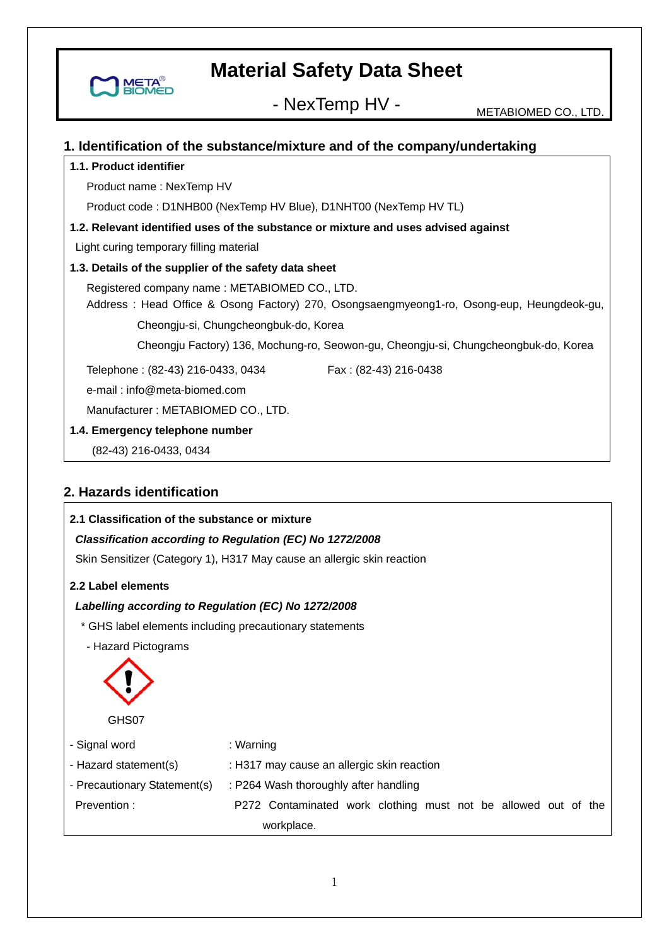

- NexTemp HV - METABIOMED CO., LTD.

#### **1. Identification of the substance/mixture and of the company/undertaking**

#### **1.1. Product identifier**

Product name : NexTemp HV

Product code : D1NHB00 (NexTemp HV Blue), D1NHT00 (NexTemp HV TL)

#### **1.2. Relevant identified uses of the substance or mixture and uses advised against**

Light curing temporary filling material

#### **1.3. Details of the supplier of the safety data sheet**

 Registered company name : METABIOMED CO., LTD. Address : Head Office & Osong Factory) 270, Osongsaengmyeong1-ro, Osong-eup, Heungdeok-gu,

Cheongju-si, Chungcheongbuk-do, Korea

Cheongju Factory) 136, Mochung-ro, Seowon-gu, Cheongju-si, Chungcheongbuk-do, Korea

Telephone: (82-43) 216-0433, 0434 Fax: (82-43) 216-0438

e-mail : info@meta-biomed.com

Manufacturer : METABIOMED CO., LTD.

**1.4. Emergency telephone number** 

(82-43) 216-0433, 0434

#### **2. Hazards identification**

## **2.1 Classification of the substance or mixture**  *Classification according to Regulation (EC) No 1272/2008*  Skin Sensitizer (Category 1), H317 May cause an allergic skin reaction **2.2 Label elements**  *Labelling according to Regulation (EC) No 1272/2008*  \* GHS label elements including precautionary statements - Hazard Pictograms GHS07 - Signal word - Hazard statement(s) - Precautionary Statement(s) : P264 Wash thoroughly after handling Prevention : : Warning : H317 may cause an allergic skin reaction P272 Contaminated work clothing must not be allowed out of the workplace.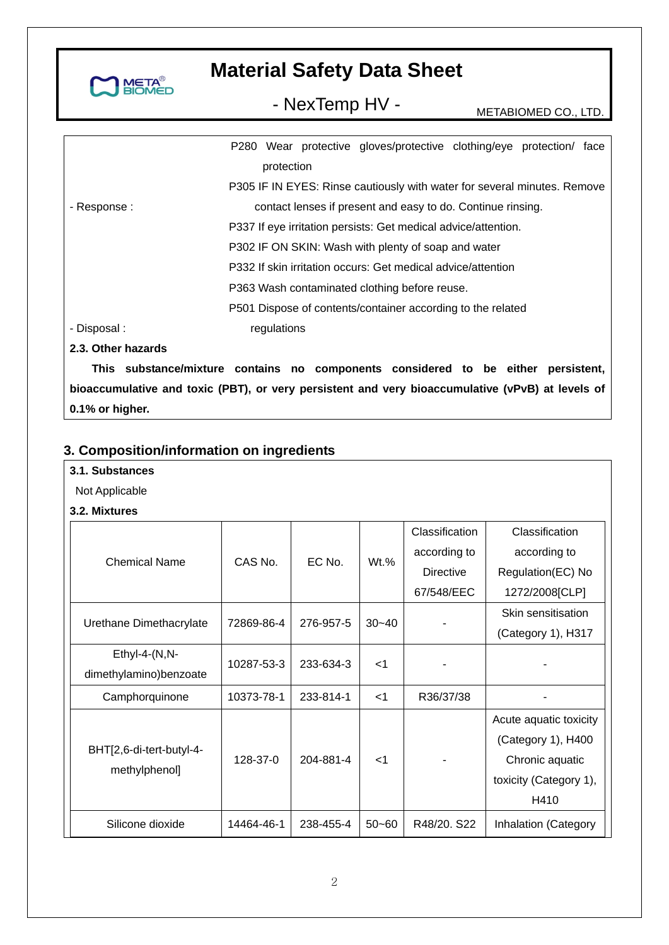

- NexTemp HV - METABIOMED CO., LTD.

|                    |             | P280 Wear protective gloves/protective clothing/eye protection/ face     |  |  |
|--------------------|-------------|--------------------------------------------------------------------------|--|--|
|                    | protection  |                                                                          |  |  |
|                    |             | P305 IF IN EYES: Rinse cautiously with water for several minutes. Remove |  |  |
| - Response :       |             | contact lenses if present and easy to do. Continue rinsing.              |  |  |
|                    |             | P337 If eye irritation persists: Get medical advice/attention.           |  |  |
|                    |             | P302 IF ON SKIN: Wash with plenty of soap and water                      |  |  |
|                    |             | P332 If skin irritation occurs: Get medical advice/attention             |  |  |
|                    |             | P363 Wash contaminated clothing before reuse.                            |  |  |
|                    |             | P501 Dispose of contents/container according to the related              |  |  |
| - Disposal :       | regulations |                                                                          |  |  |
| 2.3. Other hazards |             |                                                                          |  |  |
|                    |             |                                                                          |  |  |

**This substance/mixture contains no components considered to be either persistent, bioaccumulative and toxic (PBT), or very persistent and very bioaccumulative (vPvB) at levels of 0.1% or higher.** 

### **3. Composition/information on ingredients**

#### **3.1. Substances**

- Not Applicable
- **3.2. Mixtures**

|                          |            |           |           | Classification   | Classification         |
|--------------------------|------------|-----------|-----------|------------------|------------------------|
| <b>Chemical Name</b>     | CAS No.    | EC No.    | $Wt.$ %   | according to     | according to           |
|                          |            |           |           | <b>Directive</b> | Regulation(EC) No      |
|                          |            |           |           | 67/548/EEC       | 1272/2008[CLP]         |
| Urethane Dimethacrylate  | 72869-86-4 | 276-957-5 | $30 - 40$ |                  | Skin sensitisation     |
|                          |            |           |           |                  | (Category 1), H317     |
| $Ethyl-4-(N,N-$          | 10287-53-3 | 233-634-3 | $<$ 1     |                  |                        |
| dimethylamino)benzoate   |            |           |           |                  |                        |
| Camphorquinone           | 10373-78-1 | 233-814-1 | $<$ 1     | R36/37/38        |                        |
|                          |            |           |           |                  | Acute aquatic toxicity |
|                          |            |           | $<$ 1     |                  | (Category 1), H400     |
| BHT[2,6-di-tert-butyl-4- | 128-37-0   | 204-881-4 |           |                  | Chronic aquatic        |
| methylphenol]            |            |           |           |                  | toxicity (Category 1), |
|                          |            |           |           |                  | H410                   |
| Silicone dioxide         | 14464-46-1 | 238-455-4 | $50 - 60$ | R48/20. S22      | Inhalation (Category   |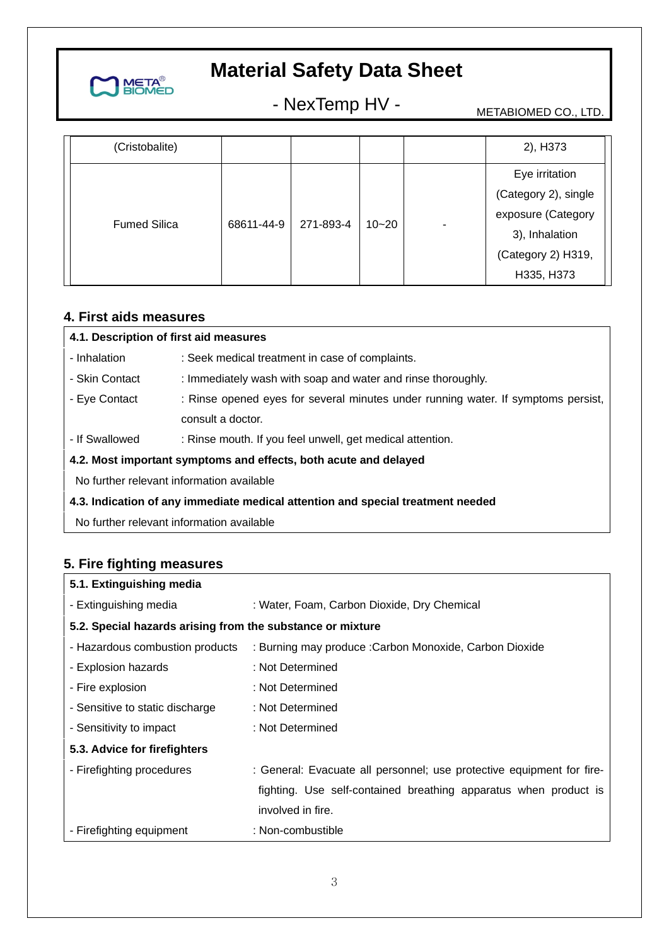

- NexTemp HV - METABIOMED CO., LTD.

| (Cristobalite)      |            |           |           |   | 2), H373             |
|---------------------|------------|-----------|-----------|---|----------------------|
|                     |            |           |           |   | Eye irritation       |
|                     |            |           |           |   | (Category 2), single |
|                     |            |           | $10 - 20$ |   | exposure (Category   |
| <b>Fumed Silica</b> | 68611-44-9 | 271-893-4 |           | ۰ | 3), Inhalation       |
|                     |            |           |           |   | (Category 2) H319,   |
|                     |            |           |           |   | H335, H373           |

### **4. First aids measures**

| 4.1. Description of first aid measures                                          |                                                                                   |  |  |
|---------------------------------------------------------------------------------|-----------------------------------------------------------------------------------|--|--|
| - Inhalation                                                                    | : Seek medical treatment in case of complaints.                                   |  |  |
| - Skin Contact                                                                  | : Immediately wash with soap and water and rinse thoroughly.                      |  |  |
| - Eye Contact                                                                   | : Rinse opened eyes for several minutes under running water. If symptoms persist, |  |  |
|                                                                                 | consult a doctor.                                                                 |  |  |
| - If Swallowed                                                                  | : Rinse mouth. If you feel unwell, get medical attention.                         |  |  |
| 4.2. Most important symptoms and effects, both acute and delayed                |                                                                                   |  |  |
| No further relevant information available                                       |                                                                                   |  |  |
| 4.3. Indication of any immediate medical attention and special treatment needed |                                                                                   |  |  |
| No further relevant information available                                       |                                                                                   |  |  |

### **5. Fire fighting measures**

| 5.1. Extinguishing media                                   |                                                                       |
|------------------------------------------------------------|-----------------------------------------------------------------------|
| - Extinguishing media                                      | : Water, Foam, Carbon Dioxide, Dry Chemical                           |
| 5.2. Special hazards arising from the substance or mixture |                                                                       |
| - Hazardous combustion products                            | : Burning may produce : Carbon Monoxide, Carbon Dioxide               |
| - Explosion hazards                                        | : Not Determined                                                      |
| - Fire explosion                                           | : Not Determined                                                      |
| - Sensitive to static discharge                            | : Not Determined                                                      |
| - Sensitivity to impact                                    | : Not Determined                                                      |
| 5.3. Advice for firefighters                               |                                                                       |
| - Firefighting procedures                                  | : General: Evacuate all personnel; use protective equipment for fire- |
|                                                            | fighting. Use self-contained breathing apparatus when product is      |
|                                                            | involved in fire.                                                     |
| - Firefighting equipment                                   | : Non-combustible                                                     |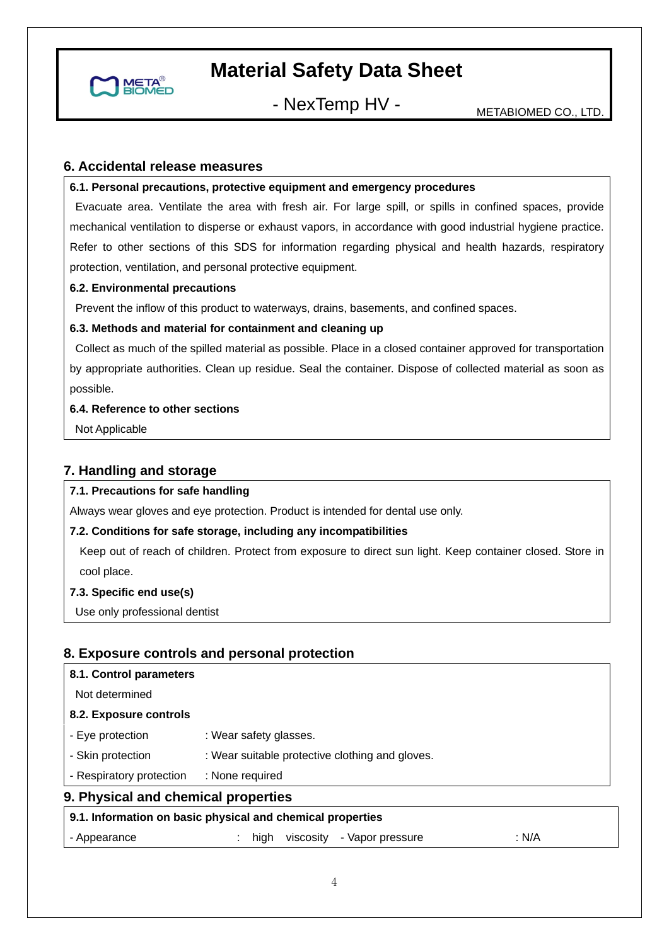

- NexTemp HV - METABIOMED CO., LTD.

#### **6. Accidental release measures**

#### **6.1. Personal precautions, protective equipment and emergency procedures**

 Evacuate area. Ventilate the area with fresh air. For large spill, or spills in confined spaces, provide mechanical ventilation to disperse or exhaust vapors, in accordance with good industrial hygiene practice. Refer to other sections of this SDS for information regarding physical and health hazards, respiratory protection, ventilation, and personal protective equipment.

#### **6.2. Environmental precautions**

Prevent the inflow of this product to waterways, drains, basements, and confined spaces.

#### **6.3. Methods and material for containment and cleaning up**

 Collect as much of the spilled material as possible. Place in a closed container approved for transportation by appropriate authorities. Clean up residue. Seal the container. Dispose of collected material as soon as possible.

#### **6.4. Reference to other sections**

Not Applicable

#### **7. Handling and storage**

#### **7.1. Precautions for safe handling**

Always wear gloves and eye protection. Product is intended for dental use only.

#### **7.2. Conditions for safe storage, including any incompatibilities**

Keep out of reach of children. Protect from exposure to direct sun light. Keep container closed. Store in cool place.

#### **7.3. Specific end use(s)**

Use only professional dentist

#### **8. Exposure controls and personal protection**

|                                     | 9.1. Information on basic physical and chemical properties |  |  |  |
|-------------------------------------|------------------------------------------------------------|--|--|--|
| 9. Physical and chemical properties |                                                            |  |  |  |
| - Respiratory protection            | : None required                                            |  |  |  |
| - Skin protection                   | : Wear suitable protective clothing and gloves.            |  |  |  |
| - Eye protection                    | : Wear safety glasses.                                     |  |  |  |
| 8.2. Exposure controls              |                                                            |  |  |  |
| Not determined                      |                                                            |  |  |  |
| 8.1. Control parameters             |                                                            |  |  |  |

| - Appearance |  |  |  | high viscosity - Vapor pressure | N/A |
|--------------|--|--|--|---------------------------------|-----|
|--------------|--|--|--|---------------------------------|-----|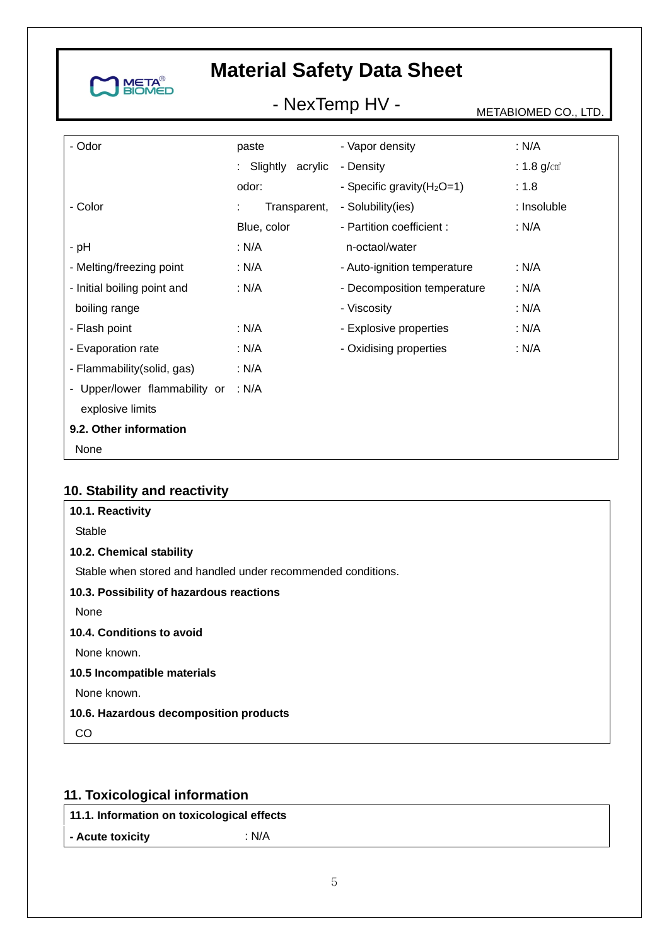

# - NexTemp HV - METABIOMED CO., LTD.

| - Odor                        | paste              | - Vapor density               | : N/A            |
|-------------------------------|--------------------|-------------------------------|------------------|
|                               | : Slightly acrylic | - Density                     | : 1.8 $g/cm^{3}$ |
|                               | odor:              | - Specific gravity $(H_2O=1)$ | : 1.8            |
| - Color                       | Transparent,       | - Solubility(ies)             | : Insoluble      |
|                               | Blue, color        | - Partition coefficient :     | : N/A            |
| - pH                          | : N/A              | n-octaol/water                |                  |
| - Melting/freezing point      | : N/A              | - Auto-ignition temperature   | : $N/A$          |
| - Initial boiling point and   | : N/A              | - Decomposition temperature   | : N/A            |
| boiling range                 |                    | - Viscosity                   | : N/A            |
| - Flash point                 | : N/A              | - Explosive properties        | : N/A            |
| - Evaporation rate            | : N/A              | - Oxidising properties        | : N/A            |
| - Flammability(solid, gas)    | : $N/A$            |                               |                  |
| - Upper/lower flammability or | : N/A              |                               |                  |
| explosive limits              |                    |                               |                  |
| 9.2. Other information        |                    |                               |                  |
| None                          |                    |                               |                  |

### **10. Stability and reactivity**

| Stable<br>10.2. Chemical stability                           |
|--------------------------------------------------------------|
|                                                              |
|                                                              |
| Stable when stored and handled under recommended conditions. |
| 10.3. Possibility of hazardous reactions                     |
| None                                                         |
| 10.4. Conditions to avoid                                    |
| None known.                                                  |
| 10.5 Incompatible materials                                  |
| None known.                                                  |
| 10.6. Hazardous decomposition products                       |
| ററ                                                           |

## **11. Toxicological information**

| 11.1. Information on toxicological effects |  |
|--------------------------------------------|--|
|                                            |  |

**- Acute toxicity** : N/A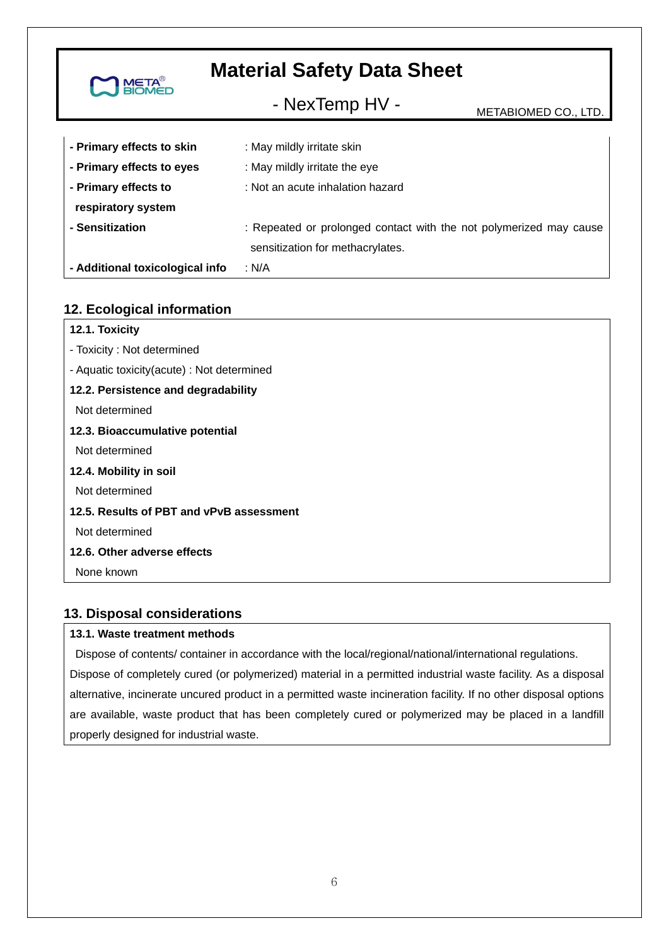| <b>META<sup>®</sup></b>         | <b>Material Safety Data Sheet</b>                                                                      |                      |
|---------------------------------|--------------------------------------------------------------------------------------------------------|----------------------|
|                                 | - NexTemp HV -                                                                                         | METABIOMED CO., LTD. |
| - Primary effects to skin       | : May mildly irritate skin                                                                             |                      |
| - Primary effects to eyes       | : May mildly irritate the eye                                                                          |                      |
| - Primary effects to            | : Not an acute inhalation hazard                                                                       |                      |
| respiratory system              |                                                                                                        |                      |
| - Sensitization                 | : Repeated or prolonged contact with the not polymerized may cause<br>sensitization for methacrylates. |                      |
| - Additional toxicological info | : N/A                                                                                                  |                      |

### **12. Ecological information**

| 12.1. Toxicity                             |
|--------------------------------------------|
| - Toxicity: Not determined                 |
| - Aquatic toxicity(acute) : Not determined |
| 12.2. Persistence and degradability        |
| Not determined                             |
| 12.3. Bioaccumulative potential            |
| Not determined                             |
| 12.4. Mobility in soil                     |
| Not determined                             |
| 12.5. Results of PBT and vPvB assessment   |
| Not determined                             |
| 12.6. Other adverse effects                |
| None known                                 |
|                                            |

### **13. Disposal considerations**

#### **13.1. Waste treatment methods**

 Dispose of contents/ container in accordance with the local/regional/national/international regulations. Dispose of completely cured (or polymerized) material in a permitted industrial waste facility. As a disposal alternative, incinerate uncured product in a permitted waste incineration facility. If no other disposal options are available, waste product that has been completely cured or polymerized may be placed in a landfill properly designed for industrial waste.